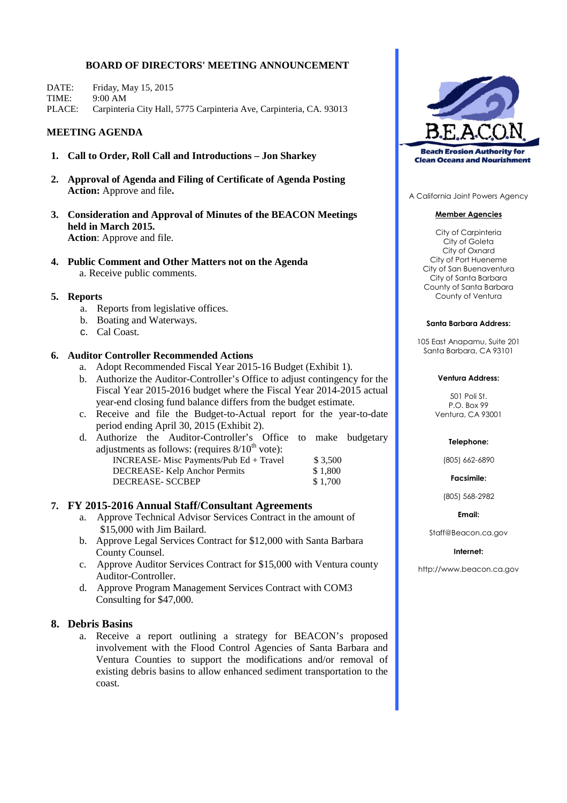# **BOARD OF DIRECTORS' MEETING ANNOUNCEMENT**

DATE: Friday, May 15, 2015 TIME: 9:00 AM PLACE: Carpinteria City Hall, 5775 Carpinteria Ave, Carpinteria, CA. 93013

# **MEETING AGENDA**

- **1. Call to Order, Roll Call and Introductions – Jon Sharkey**
- **2. Approval of Agenda and Filing of Certificate of Agenda Posting Action:** Approve and file**.**
- **3. Consideration and Approval of Minutes of the BEACON Meetings held in March 2015. Action**: Approve and file.
- **4. Public Comment and Other Matters not on the Agenda** a. Receive public comments.

## **5. Reports**

- a. Reports from legislative offices.
- b. Boating and Waterways.
- c. Cal Coast.

## **6. Auditor Controller Recommended Actions**

- a. Adopt Recommended Fiscal Year 2015-16 Budget (Exhibit 1).
- b. Authorize the Auditor-Controller's Office to adjust contingency for the Fiscal Year 2015-2016 budget where the Fiscal Year 2014-2015 actual year-end closing fund balance differs from the budget estimate.
- c. Receive and file the Budget-to-Actual report for the year-to-date period ending April 30, 2015 (Exhibit 2).
- d. Authorize the Auditor-Controller's Office to make budgetary adjustments as follows: (requires  $8/10^{th}$  vote): INCREASE- Misc Payments/Pub Ed + Travel  $$3,500$ DECREASE- Kelp Anchor Permits \$ 1,800 DECREASE- SCCBEP \$ 1,700

## **7. FY 2015-2016 Annual Staff/Consultant Agreements**

- a. Approve Technical Advisor Services Contract in the amount of \$15,000 with Jim Bailard.
- b. Approve Legal Services Contract for \$12,000 with Santa Barbara County Counsel.
- c. Approve Auditor Services Contract for \$15,000 with Ventura county Auditor-Controller.
- d. Approve Program Management Services Contract with COM3 Consulting for \$47,000.

# **8. Debris Basins**

a. Receive a report outlining a strategy for BEACON's proposed involvement with the Flood Control Agencies of Santa Barbara and Ventura Counties to support the modifications and/or removal of existing debris basins to allow enhanced sediment transportation to the coast.



A California Joint Powers Agency

## **Member Agencies**

City of Carpinteria City of Goleta City of Oxnard City of Port Hueneme City of San Buenaventura City of Santa Barbara County of Santa Barbara County of Ventura

### **Santa Barbara Address:**

105 East Anapamu, Suite 201 Santa Barbara, CA 93101

### **Ventura Address:**

501 Poli St. P.O. Box 99 Ventura, CA 93001

### **Telephone:**

(805) 662-6890

**Facsimile:**

(805) 568-2982

**Email:**

Staff@Beacon.ca.gov

### **Internet:**

http://www.beacon.ca.gov